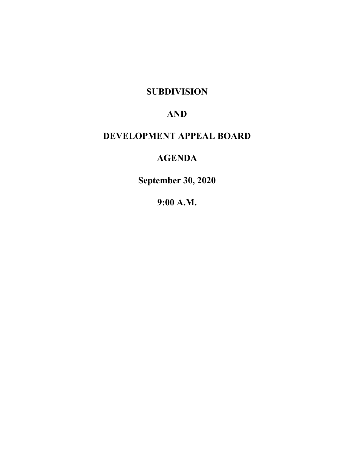**SUBDIVISION**

# **AND**

# **DEVELOPMENT APPEAL BOARD**

# **AGENDA**

**September 30, 2020**

**9:00 A.M.**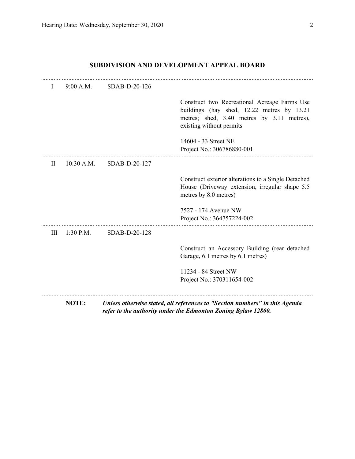# **SUBDIVISION AND DEVELOPMENT APPEAL BOARD**

| $\mathbf{I}$ | $9:00$ A.M.  | SDAB-D-20-126 |                                                                                                                                                                      |
|--------------|--------------|---------------|----------------------------------------------------------------------------------------------------------------------------------------------------------------------|
|              |              |               | Construct two Recreational Acreage Farms Use<br>buildings (hay shed, 12.22 metres by 13.21<br>metres; shed, 3.40 metres by 3.11 metres),<br>existing without permits |
|              |              |               | 14604 - 33 Street NE<br>Project No.: 306786880-001                                                                                                                   |
| $\mathbf{I}$ | $10:30$ A.M. | SDAB-D-20-127 |                                                                                                                                                                      |
|              |              |               | Construct exterior alterations to a Single Detached<br>House (Driveway extension, irregular shape 5.5)<br>metres by 8.0 metres)                                      |
|              |              |               | 7527 - 174 Avenue NW<br>Project No.: 364757224-002                                                                                                                   |
| III          | $1:30$ P.M.  | SDAB-D-20-128 |                                                                                                                                                                      |
|              |              |               | Construct an Accessory Building (rear detached<br>Garage, 6.1 metres by 6.1 metres)                                                                                  |
|              |              |               | 11234 - 84 Street NW                                                                                                                                                 |
|              |              |               | Project No.: 370311654-002                                                                                                                                           |
|              | NOTE:        |               | Unless otherwise stated, all references to "Section numbers" in this Agenda<br>refer to the authority under the Edmonton Zoning Bylaw 12800.                         |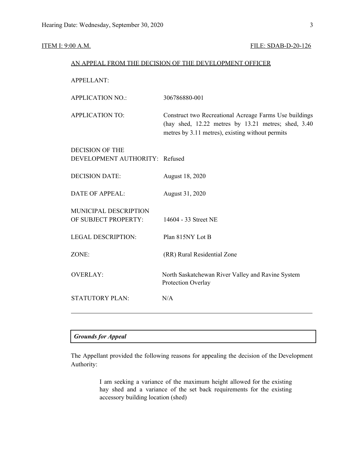## **ITEM I: 9:00 A.M. FILE: SDAB-D-20-126**

|                                | AN APPEAL FROM THE DECISION OF THE DEVELOPMENT OFFICER                                                                                                            |
|--------------------------------|-------------------------------------------------------------------------------------------------------------------------------------------------------------------|
| <b>APPELLANT:</b>              |                                                                                                                                                                   |
| <b>APPLICATION NO.:</b>        | 306786880-001                                                                                                                                                     |
| <b>APPLICATION TO:</b>         | Construct two Recreational Acreage Farms Use buildings<br>(hay shed, 12.22 metres by 13.21 metres; shed, 3.40<br>metres by 3.11 metres), existing without permits |
| <b>DECISION OF THE</b>         |                                                                                                                                                                   |
| DEVELOPMENT AUTHORITY: Refused |                                                                                                                                                                   |
| <b>DECISION DATE:</b>          | August 18, 2020                                                                                                                                                   |
| <b>DATE OF APPEAL:</b>         | August 31, 2020                                                                                                                                                   |
| MUNICIPAL DESCRIPTION          |                                                                                                                                                                   |
| OF SUBJECT PROPERTY:           | 14604 - 33 Street NE                                                                                                                                              |
| <b>LEGAL DESCRIPTION:</b>      | Plan 815NY Lot B                                                                                                                                                  |
| ZONE:                          | (RR) Rural Residential Zone                                                                                                                                       |
| <b>OVERLAY:</b>                | North Saskatchewan River Valley and Ravine System<br>Protection Overlay                                                                                           |
| <b>STATUTORY PLAN:</b>         | N/A                                                                                                                                                               |
|                                |                                                                                                                                                                   |

# *Grounds for Appeal*

The Appellant provided the following reasons for appealing the decision of the Development Authority:

> I am seeking a variance of the maximum height allowed for the existing hay shed and a variance of the set back requirements for the existing accessory building location (shed)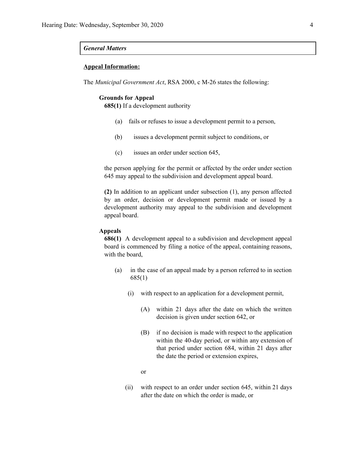#### *General Matters*

#### **Appeal Information:**

The *Municipal Government Act*, RSA 2000, c M-26 states the following:

#### **Grounds for Appeal**

**685(1)** If a development authority

- (a) fails or refuses to issue a development permit to a person,
- (b) issues a development permit subject to conditions, or
- (c) issues an order under section 645,

the person applying for the permit or affected by the order under section 645 may appeal to the subdivision and development appeal board.

**(2)** In addition to an applicant under subsection (1), any person affected by an order, decision or development permit made or issued by a development authority may appeal to the subdivision and development appeal board.

### **Appeals**

**686(1)** A development appeal to a subdivision and development appeal board is commenced by filing a notice of the appeal, containing reasons, with the board,

- (a) in the case of an appeal made by a person referred to in section 685(1)
	- (i) with respect to an application for a development permit,
		- (A) within 21 days after the date on which the written decision is given under section 642, or
		- (B) if no decision is made with respect to the application within the 40-day period, or within any extension of that period under section 684, within 21 days after the date the period or extension expires,
		- or
	- (ii) with respect to an order under section 645, within 21 days after the date on which the order is made, or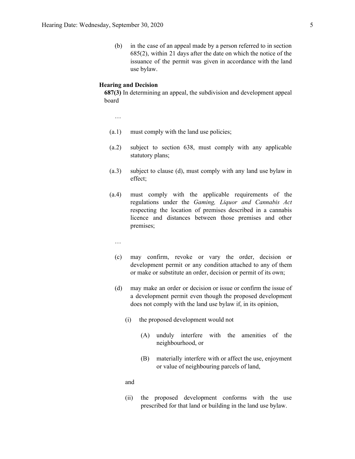(b) in the case of an appeal made by a person referred to in section 685(2), within 21 days after the date on which the notice of the issuance of the permit was given in accordance with the land use bylaw.

#### **Hearing and Decision**

**687(3)** In determining an appeal, the subdivision and development appeal board

…

- (a.1) must comply with the land use policies;
- (a.2) subject to section 638, must comply with any applicable statutory plans;
- (a.3) subject to clause (d), must comply with any land use bylaw in effect;
- (a.4) must comply with the applicable requirements of the regulations under the *Gaming, Liquor and Cannabis Act* respecting the location of premises described in a cannabis licence and distances between those premises and other premises;
	- …
	- (c) may confirm, revoke or vary the order, decision or development permit or any condition attached to any of them or make or substitute an order, decision or permit of its own;
	- (d) may make an order or decision or issue or confirm the issue of a development permit even though the proposed development does not comply with the land use bylaw if, in its opinion,
		- (i) the proposed development would not
			- (A) unduly interfere with the amenities of the neighbourhood, or
			- (B) materially interfere with or affect the use, enjoyment or value of neighbouring parcels of land,

and

(ii) the proposed development conforms with the use prescribed for that land or building in the land use bylaw.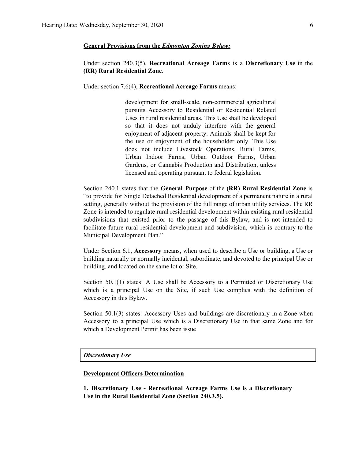#### **General Provisions from the** *Edmonton Zoning Bylaw:*

Under section 240.3(5), **Recreational Acreage Farms** is a **Discretionary Use** in the **(RR) Rural Residential Zone**.

Under section 7.6(4), **Recreational Acreage Farms** means:

development for small-scale, non-commercial agricultural pursuits Accessory to Residential or Residential Related Uses in rural residential areas. This Use shall be developed so that it does not unduly interfere with the general enjoyment of adjacent property. Animals shall be kept for the use or enjoyment of the householder only. This Use does not include Livestock Operations, Rural Farms, Urban Indoor Farms, Urban Outdoor Farms, Urban Gardens, or Cannabis Production and Distribution, unless licensed and operating pursuant to federal legislation.

Section 240.1 states that the **General Purpose** of the **(RR) Rural Residential Zone** is "to provide for Single Detached Residential development of a permanent nature in a rural setting, generally without the provision of the full range of urban utility services. The RR Zone is intended to regulate rural residential development within existing rural residential subdivisions that existed prior to the passage of this Bylaw, and is not intended to facilitate future rural residential development and subdivision, which is contrary to the Municipal Development Plan."

Under Section 6.1, **Accessory** means, when used to describe a Use or building, a Use or building naturally or normally incidental, subordinate, and devoted to the principal Use or building, and located on the same lot or Site.

Section 50.1(1) states: A Use shall be Accessory to a Permitted or Discretionary Use which is a principal Use on the Site, if such Use complies with the definition of Accessory in this Bylaw.

Section 50.1(3) states: Accessory Uses and buildings are discretionary in a Zone when Accessory to a principal Use which is a Discretionary Use in that same Zone and for which a Development Permit has been issue

*Discretionary Use*

### **Development Officers Determination**

**1. Discretionary Use - Recreational Acreage Farms Use is a Discretionary Use in the Rural Residential Zone (Section 240.3.5).**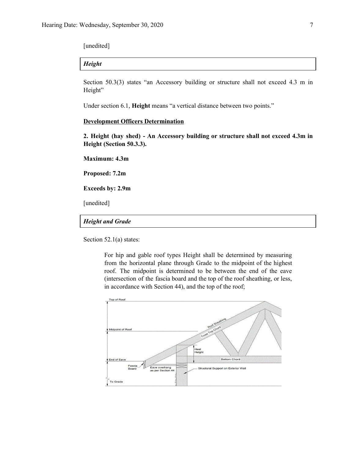[unedited]

# *Height*

Section 50.3(3) states "an Accessory building or structure shall not exceed 4.3 m in Height"

Under section 6.1, **Height** means "a vertical distance between two points."

# **Development Officers Determination**

**2. Height (hay shed) - An Accessory building or structure shall not exceed 4.3m in Height (Section 50.3.3).**

**Maximum: 4.3m**

**Proposed: 7.2m**

**Exceeds by: 2.9m**

[unedited]

# *Height and Grade*

Section 52.1(a) states:

For hip and gable roof types Height shall be determined by measuring from the horizontal plane through Grade to the midpoint of the highest roof. The midpoint is determined to be between the end of the eave (intersection of the fascia board and the top of the roof sheathing, or less, in accordance with Section 44), and the top of the roof;

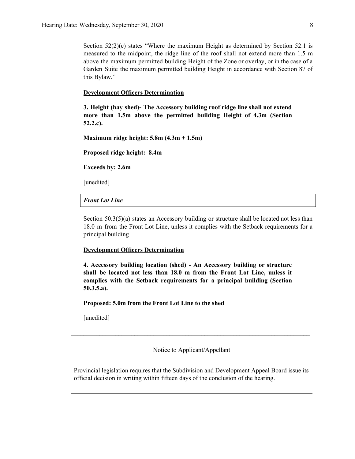Section 52(2)(c) states "Where the maximum Height as determined by Section 52.1 is measured to the midpoint, the ridge line of the roof shall not extend more than 1.5 m above the maximum permitted building Height of the Zone or overlay, or in the case of a Garden Suite the maximum permitted building Height in accordance with Section 87 of this Bylaw."

#### **Development Officers Determination**

**3. Height (hay shed)- The Accessory building roof ridge line shall not extend more than 1.5m above the permitted building Height of 4.3m (Section 52.2.c).**

**Maximum ridge height: 5.8m (4.3m + 1.5m)**

**Proposed ridge height: 8.4m**

**Exceeds by: 2.6m**

[unedited]

### *Front Lot Line*

Section 50.3(5)(a) states an Accessory building or structure shall be located not less than 18.0 m from the Front Lot Line, unless it complies with the Setback requirements for a principal building

#### **Development Officers Determination**

**4. Accessory building location (shed) - An Accessory building or structure shall be located not less than 18.0 m from the Front Lot Line, unless it complies with the Setback requirements for a principal building (Section 50.3.5.a).**

**Proposed: 5.0m from the Front Lot Line to the shed**

[unedited]

Notice to Applicant/Appellant

 $\mathcal{L}_\text{max} = \frac{1}{2} \sum_{i=1}^n \mathcal{L}_\text{max} = \frac{1}{2} \sum_{i=1}^n \mathcal{L}_\text{max} = \frac{1}{2} \sum_{i=1}^n \mathcal{L}_\text{max} = \frac{1}{2} \sum_{i=1}^n \mathcal{L}_\text{max} = \frac{1}{2} \sum_{i=1}^n \mathcal{L}_\text{max} = \frac{1}{2} \sum_{i=1}^n \mathcal{L}_\text{max} = \frac{1}{2} \sum_{i=1}^n \mathcal{L}_\text{max} = \frac{1}{2} \sum_{i=$ 

Provincial legislation requires that the Subdivision and Development Appeal Board issue its official decision in writing within fifteen days of the conclusion of the hearing.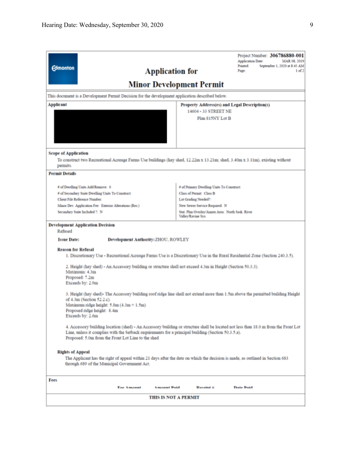| <b>Edmonton</b>                                                                                                                                                                                                                                               | <b>Application for</b>          | Project Number: 306786880-001<br>Application Date:<br>MAR 08, 2019<br>Printed:<br>September 1, 2020 at 8:45 AM<br>1 of 2<br>Page:   |  |  |
|---------------------------------------------------------------------------------------------------------------------------------------------------------------------------------------------------------------------------------------------------------------|---------------------------------|-------------------------------------------------------------------------------------------------------------------------------------|--|--|
|                                                                                                                                                                                                                                                               | <b>Minor Development Permit</b> |                                                                                                                                     |  |  |
| This document is a Development Permit Decision for the development application described below.                                                                                                                                                               |                                 |                                                                                                                                     |  |  |
| Applicant                                                                                                                                                                                                                                                     |                                 | Property Address(es) and Legal Description(s)                                                                                       |  |  |
|                                                                                                                                                                                                                                                               |                                 | 14604 - 33 STREET NE                                                                                                                |  |  |
|                                                                                                                                                                                                                                                               |                                 | Plan 815NY Lot B                                                                                                                    |  |  |
| <b>Scope of Application</b>                                                                                                                                                                                                                                   |                                 |                                                                                                                                     |  |  |
| To construct two Recreational Acreage Farms Use buildings (hay shed, 12.22m x 13.21m; shed, 3.40m x 3.11m), existing without<br>permits.                                                                                                                      |                                 |                                                                                                                                     |  |  |
| <b>Permit Details</b>                                                                                                                                                                                                                                         |                                 |                                                                                                                                     |  |  |
| # of Dwelling Units Add/Remove: 0                                                                                                                                                                                                                             |                                 | # of Primary Dwelling Units To Construct:                                                                                           |  |  |
| # of Secondary Suite Dwelling Units To Construct:                                                                                                                                                                                                             |                                 | Class of Permit: Class B                                                                                                            |  |  |
| Chent File Reference Number:                                                                                                                                                                                                                                  |                                 | Lot Grading Needed?:                                                                                                                |  |  |
| Minor Dev. Application Fee: Exterior Alterations (Res.)                                                                                                                                                                                                       |                                 | New Sewer Service Required: N                                                                                                       |  |  |
| Secondary Suite Included ?: N                                                                                                                                                                                                                                 | Valley/Ravine Sys.              | Stat. Plan Overlay/Annex Area: North Sask. River                                                                                    |  |  |
| <b>Development Application Decision</b><br>Refused                                                                                                                                                                                                            |                                 |                                                                                                                                     |  |  |
| <b>Issue Date:</b><br><b>Development Authority: ZHOU, ROWLEY</b>                                                                                                                                                                                              |                                 |                                                                                                                                     |  |  |
| <b>Reason for Refusal</b><br>1. Discretionary Use - Recreational Acreage Farms Use is a Discretionary Use in the Rural Residential Zone (Section 240.3.5).                                                                                                    |                                 |                                                                                                                                     |  |  |
| 2. Height (hay shed) - An Accessory building or structure shall not exceed 4.3m in Height (Section 50.3.3).<br>Maximum: 4.3m<br>Proposed: 7.2m<br>Exceeds by: 2.9m                                                                                            |                                 |                                                                                                                                     |  |  |
| 3. Height (hay shed)- The Accessory building roof ridge line shall not extend more than 1.5m above the permitted building Height<br>of 4.3m (Section 52.2.c).<br>Maximum ridge height: $5.8m(4.3m + 1.5m)$<br>Proposed ridge height: 8.4m<br>Exceeds by: 2.6m |                                 |                                                                                                                                     |  |  |
| Line, unless it complies with the Setback requirements for a principal building (Section 50.3.5.a).<br>Proposed: 5.0m from the Front Lot Line to the shed                                                                                                     |                                 | 4. Accessory building location (shed) - An Accessory building or structure shall be located not less than 18.0 m from the Front Lot |  |  |
| <b>Rights of Appeal</b><br>The Applicant has the right of appeal within 21 days after the date on which the decision is made, as outlined in Section 683<br>through 689 of the Municipal Government Act.                                                      |                                 |                                                                                                                                     |  |  |
| Fees                                                                                                                                                                                                                                                          |                                 |                                                                                                                                     |  |  |
| <b>Eas Amount</b>                                                                                                                                                                                                                                             | <b>Amount Daid</b>              | Deceint #<br>Date Daid                                                                                                              |  |  |
|                                                                                                                                                                                                                                                               | <b>THIS IS NOT A PERMIT</b>     |                                                                                                                                     |  |  |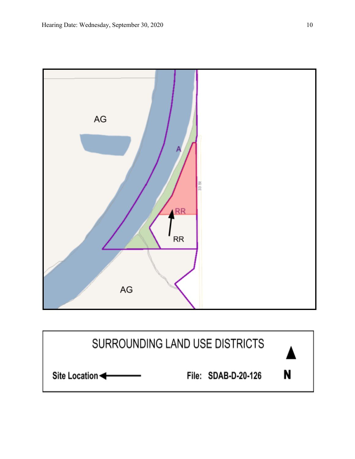

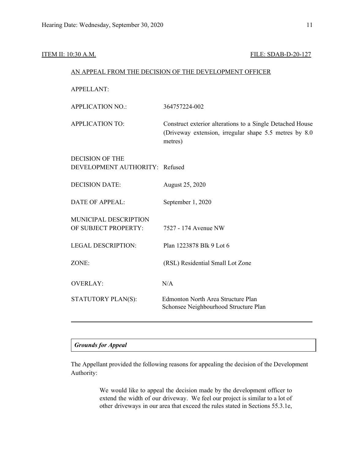## ITEM II: 10:30 A.M. **FILE: SDAB-D-20-127**

# AN APPEAL FROM THE DECISION OF THE DEVELOPMENT OFFICER

APPELLANT:

| <b>APPLICATION NO.:</b>        | 364757224-002                                                                                                                   |
|--------------------------------|---------------------------------------------------------------------------------------------------------------------------------|
| <b>APPLICATION TO:</b>         | Construct exterior alterations to a Single Detached House<br>(Driveway extension, irregular shape 5.5 metres by 8.0)<br>metres) |
| <b>DECISION OF THE</b>         |                                                                                                                                 |
| DEVELOPMENT AUTHORITY: Refused |                                                                                                                                 |
| <b>DECISION DATE:</b>          | August 25, 2020                                                                                                                 |
| <b>DATE OF APPEAL:</b>         | September 1, 2020                                                                                                               |
| MUNICIPAL DESCRIPTION          |                                                                                                                                 |
| OF SUBJECT PROPERTY:           | 7527 - 174 Avenue NW                                                                                                            |
| <b>LEGAL DESCRIPTION:</b>      | Plan 1223878 Blk 9 Lot 6                                                                                                        |
| ZONE:                          | (RSL) Residential Small Lot Zone                                                                                                |
| <b>OVERLAY:</b>                | N/A                                                                                                                             |
| STATUTORY PLAN(S):             | Edmonton North Area Structure Plan<br>Schonsee Neighbourhood Structure Plan                                                     |
|                                |                                                                                                                                 |

# *Grounds for Appeal*

The Appellant provided the following reasons for appealing the decision of the Development Authority:

> We would like to appeal the decision made by the development officer to extend the width of our driveway. We feel our project is similar to a lot of other driveways in our area that exceed the rules stated in Sections 55.3.1e,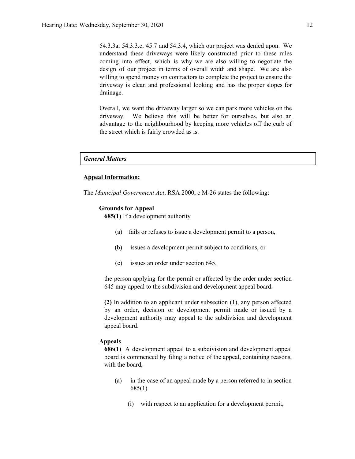54.3.3a, 54.3.3.c, 45.7 and 54.3.4, which our project was denied upon. We understand these driveways were likely constructed prior to these rules coming into effect, which is why we are also willing to negotiate the design of our project in terms of overall width and shape. We are also willing to spend money on contractors to complete the project to ensure the driveway is clean and professional looking and has the proper slopes for drainage.

Overall, we want the driveway larger so we can park more vehicles on the driveway. We believe this will be better for ourselves, but also an advantage to the neighbourhood by keeping more vehicles off the curb of the street which is fairly crowded as is.

#### *General Matters*

#### **Appeal Information:**

The *Municipal Government Act*, RSA 2000, c M-26 states the following:

#### **Grounds for Appeal**

**685(1)** If a development authority

- (a) fails or refuses to issue a development permit to a person,
- (b) issues a development permit subject to conditions, or
- (c) issues an order under section 645,

the person applying for the permit or affected by the order under section 645 may appeal to the subdivision and development appeal board.

**(2)** In addition to an applicant under subsection (1), any person affected by an order, decision or development permit made or issued by a development authority may appeal to the subdivision and development appeal board.

#### **Appeals**

**686(1)** A development appeal to a subdivision and development appeal board is commenced by filing a notice of the appeal, containing reasons, with the board,

- (a) in the case of an appeal made by a person referred to in section 685(1)
	- (i) with respect to an application for a development permit,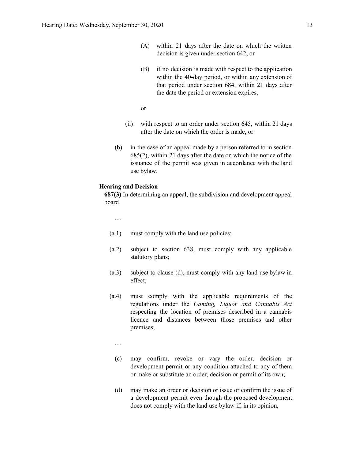- (A) within 21 days after the date on which the written decision is given under section 642, or
- (B) if no decision is made with respect to the application within the 40-day period, or within any extension of that period under section 684, within 21 days after the date the period or extension expires,

or

- (ii) with respect to an order under section 645, within 21 days after the date on which the order is made, or
- (b) in the case of an appeal made by a person referred to in section 685(2), within 21 days after the date on which the notice of the issuance of the permit was given in accordance with the land use bylaw.

#### **Hearing and Decision**

**687(3)** In determining an appeal, the subdivision and development appeal board

…

- (a.1) must comply with the land use policies;
- (a.2) subject to section 638, must comply with any applicable statutory plans;
- (a.3) subject to clause (d), must comply with any land use bylaw in effect;
- (a.4) must comply with the applicable requirements of the regulations under the *Gaming, Liquor and Cannabis Act* respecting the location of premises described in a cannabis licence and distances between those premises and other premises;

…

- (c) may confirm, revoke or vary the order, decision or development permit or any condition attached to any of them or make or substitute an order, decision or permit of its own;
- (d) may make an order or decision or issue or confirm the issue of a development permit even though the proposed development does not comply with the land use bylaw if, in its opinion,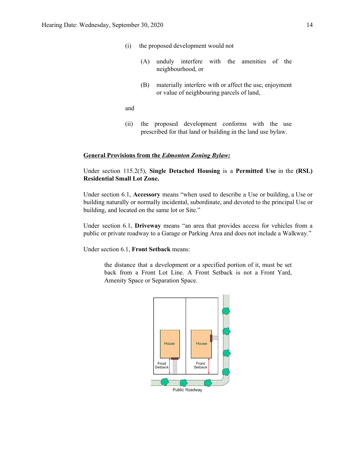- (i) the proposed development would not
	- (A) unduly interfere with the amenities of the neighbourhood, or
	- (B) materially interfere with or affect the use, enjoyment or value of neighbouring parcels of land,

and

(ii) the proposed development conforms with the use prescribed for that land or building in the land use bylaw.

#### **General Provisions from the** *Edmonton Zoning Bylaw:*

Under section 115.2(5), **Single Detached Housing** is a **Permitted Use** in the **(RSL) Residential Small Lot Zone.**

Under section 6.1, **Accessory** means "when used to describe a Use or building, a Use or building naturally or normally incidental, subordinate, and devoted to the principal Use or building, and located on the same lot or Site."

Under section 6.1, **Driveway** means "an area that provides access for vehicles from a public or private roadway to a Garage or Parking Area and does not include a Walkway."

Under section 6.1, **Front Setback** means:

the distance that a development or a specified portion of it, must be set back from a Front Lot Line. A Front Setback is not a Front Yard, Amenity Space or Separation Space.

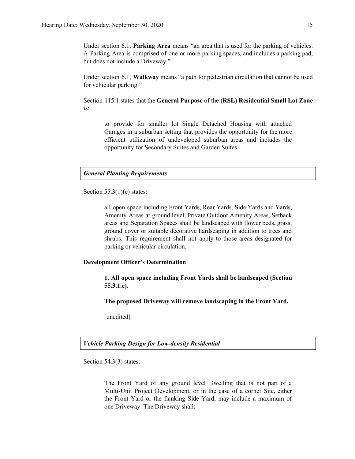Under section 6.1, **Parking Area** means "an area that is used for the parking of vehicles. A Parking Area is comprised of one or more parking spaces, and includes a parking pad, but does not include a Driveway."

Under section 6.1, **Walkway** means "a path for pedestrian circulation that cannot be used for vehicular parking."

Section 115.1 states that the **General Purpose** of the **(RSL) Residential Small Lot Zone** is:

to provide for smaller lot Single Detached Housing with attached Garages in a suburban setting that provides the opportunity for the more efficient utilization of undeveloped suburban areas and includes the opportunity for Secondary Suites and Garden Suites.

## *General Planting Requirements*

Section  $55.3(1)(e)$  states:

all open space including Front Yards, Rear Yards, Side Yards and Yards, Amenity Areas at ground level, Private Outdoor Amenity Areas, Setback areas and Separation Spaces shall be landscaped with flower beds, grass, ground cover or suitable decorative hardscaping in addition to trees and shrubs. This requirement shall not apply to those areas designated for parking or vehicular circulation.

#### **Development Officer's Determination**

**1. All open space including Front Yards shall be landscaped (Section 55.3.1.e).**

**The proposed Driveway will remove landscaping in the Front Yard.**

[unedited]

#### *Vehicle Parking Design for Low-density Residential*

Section 54.3(3) states:

The Front Yard of any ground level Dwelling that is not part of a Multi-Unit Project Development, or in the case of a corner Site, either the Front Yard or the flanking Side Yard, may include a maximum of one Driveway. The Driveway shall: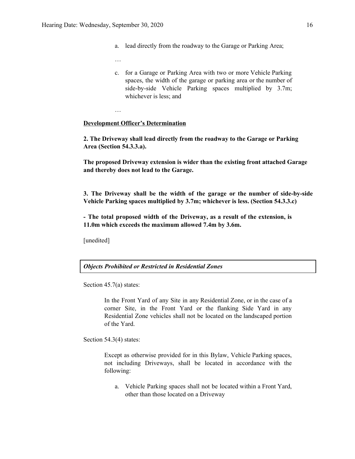- a. lead directly from the roadway to the Garage or Parking Area;
- …

…

c. for a Garage or Parking Area with two or more Vehicle Parking spaces, the width of the garage or parking area or the number of side-by-side Vehicle Parking spaces multiplied by 3.7m; whichever is less; and

#### **Development Officer's Determination**

**2. The Driveway shall lead directly from the roadway to the Garage or Parking Area (Section 54.3.3.a).**

**The proposed Driveway extension is wider than the existing front attached Garage and thereby does not lead to the Garage.**

**3. The Driveway shall be the width of the garage or the number of side-by-side Vehicle Parking spaces multiplied by 3.7m; whichever is less. (Section 54.3.3.c)**

**- The total proposed width of the Driveway, as a result of the extension, is 11.0m which exceeds the maximum allowed 7.4m by 3.6m.**

[unedited]

*Objects Prohibited or Restricted in Residential Zones*

Section 45.7(a) states:

In the Front Yard of any Site in any Residential Zone, or in the case of a corner Site, in the Front Yard or the flanking Side Yard in any Residential Zone vehicles shall not be located on the landscaped portion of the Yard.

Section 54.3(4) states:

Except as otherwise provided for in this Bylaw, Vehicle Parking spaces, not including Driveways, shall be located in accordance with the following:

a. Vehicle Parking spaces shall not be located within a Front Yard, other than those located on a Driveway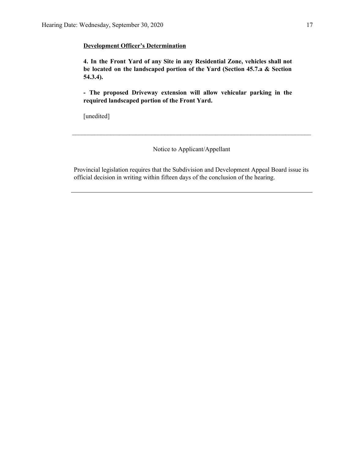## **Development Officer's Determination**

**4. In the Front Yard of any Site in any Residential Zone, vehicles shall not be located on the landscaped portion of the Yard (Section 45.7.a & Section 54.3.4).**

**- The proposed Driveway extension will allow vehicular parking in the required landscaped portion of the Front Yard.**

[unedited]

Notice to Applicant/Appellant

 $\mathcal{L}_\text{max} = \frac{1}{2} \sum_{i=1}^n \mathcal{L}_\text{max} = \frac{1}{2} \sum_{i=1}^n \mathcal{L}_\text{max} = \frac{1}{2} \sum_{i=1}^n \mathcal{L}_\text{max} = \frac{1}{2} \sum_{i=1}^n \mathcal{L}_\text{max} = \frac{1}{2} \sum_{i=1}^n \mathcal{L}_\text{max} = \frac{1}{2} \sum_{i=1}^n \mathcal{L}_\text{max} = \frac{1}{2} \sum_{i=1}^n \mathcal{L}_\text{max} = \frac{1}{2} \sum_{i=$ 

Provincial legislation requires that the Subdivision and Development Appeal Board issue its official decision in writing within fifteen days of the conclusion of the hearing.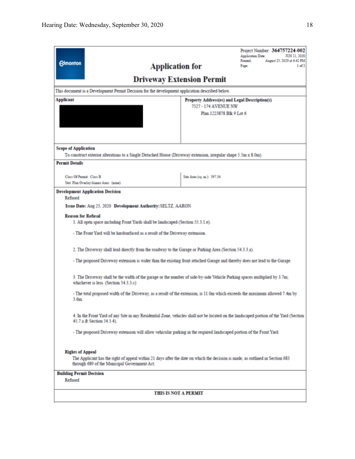| <b>Edmonton</b>                                                                                                                                                                                                                                                                                                                                                                                                                                                                                                                                                                                                                                                                                                                                                                                                                                                                       | Project Number: 364757224-002<br>Application Date:<br>JUN 11, 2020<br>Printed:<br>August 25, 2020 at 4:42 PM<br><b>Application for</b><br>Page:<br>1 of 2<br><b>Driveway Extension Permit</b> |  |
|---------------------------------------------------------------------------------------------------------------------------------------------------------------------------------------------------------------------------------------------------------------------------------------------------------------------------------------------------------------------------------------------------------------------------------------------------------------------------------------------------------------------------------------------------------------------------------------------------------------------------------------------------------------------------------------------------------------------------------------------------------------------------------------------------------------------------------------------------------------------------------------|-----------------------------------------------------------------------------------------------------------------------------------------------------------------------------------------------|--|
| This document is a Development Permit Decision for the development application described below.                                                                                                                                                                                                                                                                                                                                                                                                                                                                                                                                                                                                                                                                                                                                                                                       |                                                                                                                                                                                               |  |
| <b>Applicant</b>                                                                                                                                                                                                                                                                                                                                                                                                                                                                                                                                                                                                                                                                                                                                                                                                                                                                      | Property Address(es) and Legal Description(s)<br>7527 - 174 AVENUE NW<br>Plan 1223878 Blk 9 Lot 6                                                                                             |  |
| <b>Scope of Application</b><br>To construct exterior alterations to a Single Detached House (Driveway extension, irregular shape 5.5m x 8.0m).<br><b>Permit Details</b>                                                                                                                                                                                                                                                                                                                                                                                                                                                                                                                                                                                                                                                                                                               |                                                                                                                                                                                               |  |
| Class Of Permit: Class B<br>Stat. Plan Overlay/Annex Area: (none)                                                                                                                                                                                                                                                                                                                                                                                                                                                                                                                                                                                                                                                                                                                                                                                                                     | Site Area (1q. m.): 397.34                                                                                                                                                                    |  |
| <b>Development Application Decision</b><br>Refused<br>Issue Date: Aug 25, 2020 Development Authority: SELTZ, AARON<br><b>Reason for Refusal</b><br>1. All open space including Front Yards shall be landscaped (Section 55.3.1.e).<br>- The Front Yard will be hardsurfaced as a result of the Driveway extension.<br>2. The Driveway shall lead directly from the roadway to the Garage or Parking Area (Section 54.3.3.a).<br>- The proposed Driveway extension is wider than the existing front attached Garage and thereby does not lead to the Garage.<br>3. The Driveway shall be the width of the garage or the number of side-by-side Vehicle Parking spaces multiplied by 3.7m;<br>whichever is less. (Section 54.3.3.c)<br>- The total proposed width of the Driveway, as a result of the extension, is 11.0m which exceeds the maximum allowed 7.4m by<br>3.6 <sub>m</sub> |                                                                                                                                                                                               |  |
| 4. In the Front Yard of any Site in any Residential Zone, vehicles shall not be located on the landscaped portion of the Yard (Section<br>45.7.a & Section 54.3.4).<br>- The proposed Driveway extension will allow vehicular parking in the required landscaped portion of the Front Yard.                                                                                                                                                                                                                                                                                                                                                                                                                                                                                                                                                                                           |                                                                                                                                                                                               |  |
| <b>Rights of Appeal</b><br>The Applicant has the right of appeal within 21 days after the date on which the decision is made, as outlined in Section 683<br>through 689 of the Municipal Government Act.<br><b>Building Permit Decision</b><br>Refused                                                                                                                                                                                                                                                                                                                                                                                                                                                                                                                                                                                                                                |                                                                                                                                                                                               |  |
| <b>THIS IS NOT A PERMIT</b>                                                                                                                                                                                                                                                                                                                                                                                                                                                                                                                                                                                                                                                                                                                                                                                                                                                           |                                                                                                                                                                                               |  |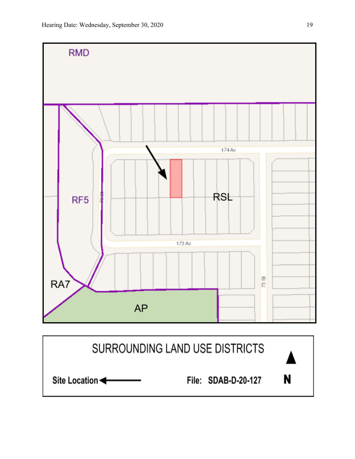

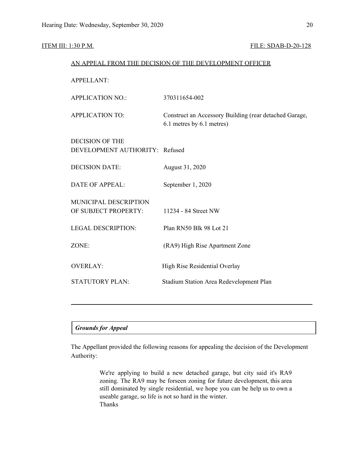## ITEM III: 1:30 P.M. FILE: SDAB-D-20-128

| AN APPEAL FROM THE DECISION OF THE DEVELOPMENT OFFICER   |                                                                                     |  |
|----------------------------------------------------------|-------------------------------------------------------------------------------------|--|
| <b>APPELLANT:</b>                                        |                                                                                     |  |
| <b>APPLICATION NO.:</b>                                  | 370311654-002                                                                       |  |
| <b>APPLICATION TO:</b>                                   | Construct an Accessory Building (rear detached Garage,<br>6.1 metres by 6.1 metres) |  |
| <b>DECISION OF THE</b><br>DEVELOPMENT AUTHORITY: Refused |                                                                                     |  |
| <b>DECISION DATE:</b>                                    | August 31, 2020                                                                     |  |
| <b>DATE OF APPEAL:</b>                                   | September 1, 2020                                                                   |  |
| MUNICIPAL DESCRIPTION<br>OF SUBJECT PROPERTY:            | 11234 - 84 Street NW                                                                |  |
| <b>LEGAL DESCRIPTION:</b>                                | Plan RN50 Blk 98 Lot 21                                                             |  |
| ZONE:                                                    | (RA9) High Rise Apartment Zone                                                      |  |
| <b>OVERLAY:</b>                                          | High Rise Residential Overlay                                                       |  |
| <b>STATUTORY PLAN:</b>                                   | Stadium Station Area Redevelopment Plan                                             |  |
|                                                          |                                                                                     |  |

# *Grounds for Appeal*

The Appellant provided the following reasons for appealing the decision of the Development Authority:

> We're applying to build a new detached garage, but city said it's RA9 zoning. The RA9 may be forseen zoning for future development, this area still dominated by single residential, we hope you can be help us to own a useable garage, so life is not so hard in the winter. Thanks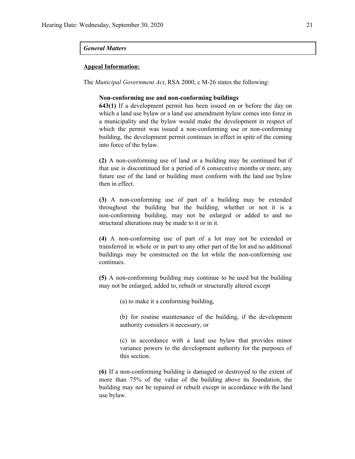### *General Matters*

#### **Appeal Information:**

The *Municipal Government Act*, RSA 2000, c M-26 states the following:

#### **Non-conforming use and non-conforming buildings**

**643(1)** If a development permit has been issued on or before the day on which a land use bylaw or a land use amendment bylaw comes into force in a municipality and the bylaw would make the development in respect of which the permit was issued a non-conforming use or non-conforming building, the development permit continues in effect in spite of the coming into force of the bylaw.

**(2)** A non-conforming use of land or a building may be continued but if that use is discontinued for a period of 6 consecutive months or more, any future use of the land or building must conform with the land use bylaw then in effect.

**(3)** A non-conforming use of part of a building may be extended throughout the building but the building, whether or not it is a non-conforming building, may not be enlarged or added to and no structural alterations may be made to it or in it.

**(4)** A non-conforming use of part of a lot may not be extended or transferred in whole or in part to any other part of the lot and no additional buildings may be constructed on the lot while the non-conforming use continues.

**(5)** A non-conforming building may continue to be used but the building may not be enlarged, added to, rebuilt or structurally altered except

(a) to make it a conforming building,

(b) for routine maintenance of the building, if the development authority considers it necessary, or

(c) in accordance with a land use bylaw that provides minor variance powers to the development authority for the purposes of this section.

**(6)** If a non-conforming building is damaged or destroyed to the extent of more than 75% of the value of the building above its foundation, the building may not be repaired or rebuilt except in accordance with the land use bylaw.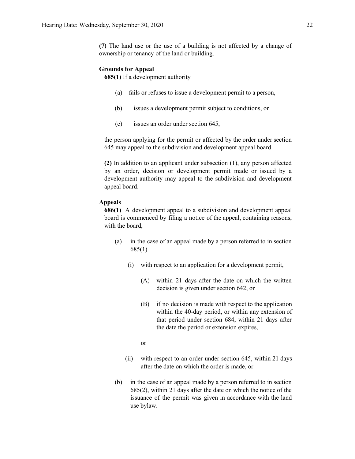**(7)** The land use or the use of a building is not affected by a change of ownership or tenancy of the land or building.

#### **Grounds for Appeal**

**685(1)** If a development authority

- (a) fails or refuses to issue a development permit to a person,
- (b) issues a development permit subject to conditions, or
- (c) issues an order under section 645,

the person applying for the permit or affected by the order under section 645 may appeal to the subdivision and development appeal board.

**(2)** In addition to an applicant under subsection (1), any person affected by an order, decision or development permit made or issued by a development authority may appeal to the subdivision and development appeal board.

### **Appeals**

**686(1)** A development appeal to a subdivision and development appeal board is commenced by filing a notice of the appeal, containing reasons, with the board,

- (a) in the case of an appeal made by a person referred to in section 685(1)
	- (i) with respect to an application for a development permit,
		- (A) within 21 days after the date on which the written decision is given under section 642, or
		- (B) if no decision is made with respect to the application within the 40-day period, or within any extension of that period under section 684, within 21 days after the date the period or extension expires,
		- or
	- (ii) with respect to an order under section 645, within 21 days after the date on which the order is made, or
- (b) in the case of an appeal made by a person referred to in section 685(2), within 21 days after the date on which the notice of the issuance of the permit was given in accordance with the land use bylaw.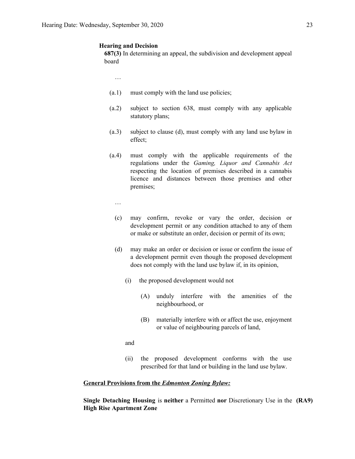#### **Hearing and Decision**

**687(3)** In determining an appeal, the subdivision and development appeal board

…

- (a.1) must comply with the land use policies;
- (a.2) subject to section 638, must comply with any applicable statutory plans;
- (a.3) subject to clause (d), must comply with any land use bylaw in effect;
- (a.4) must comply with the applicable requirements of the regulations under the *Gaming, Liquor and Cannabis Act* respecting the location of premises described in a cannabis licence and distances between those premises and other premises;
	- …
	- (c) may confirm, revoke or vary the order, decision or development permit or any condition attached to any of them or make or substitute an order, decision or permit of its own;
	- (d) may make an order or decision or issue or confirm the issue of a development permit even though the proposed development does not comply with the land use bylaw if, in its opinion,
		- (i) the proposed development would not
			- (A) unduly interfere with the amenities of the neighbourhood, or
			- (B) materially interfere with or affect the use, enjoyment or value of neighbouring parcels of land,

and

(ii) the proposed development conforms with the use prescribed for that land or building in the land use bylaw.

#### **General Provisions from the** *Edmonton Zoning Bylaw:*

**Single Detaching Housing** is **neither** a Permitted **nor** Discretionary Use in the **(RA9) High Rise Apartment Zone**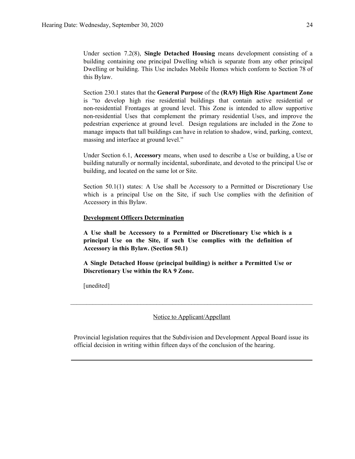Under section 7.2(8), **Single Detached Housing** means development consisting of a building containing one principal Dwelling which is separate from any other principal Dwelling or building. This Use includes Mobile Homes which conform to Section 78 of this Bylaw.

Section 230.1 states that the **General Purpose** of the **(RA9) High Rise Apartment Zone** is "to develop high rise residential buildings that contain active residential or non-residential Frontages at ground level. This Zone is intended to allow supportive non-residential Uses that complement the primary residential Uses, and improve the pedestrian experience at ground level. Design regulations are included in the Zone to manage impacts that tall buildings can have in relation to shadow, wind, parking, context, massing and interface at ground level."

Under Section 6.1, **Accessory** means, when used to describe a Use or building, a Use or building naturally or normally incidental, subordinate, and devoted to the principal Use or building, and located on the same lot or Site.

Section 50.1(1) states: A Use shall be Accessory to a Permitted or Discretionary Use which is a principal Use on the Site, if such Use complies with the definition of Accessory in this Bylaw.

#### **Development Officers Determination**

**A Use shall be Accessory to a Permitted or Discretionary Use which is a principal Use on the Site, if such Use complies with the definition of Accessory in this Bylaw. (Section 50.1)**

**A Single Detached House (principal building) is neither a Permitted Use or Discretionary Use within the RA 9 Zone.**

[unedited]

Notice to Applicant/Appellant

 $\mathcal{L}_\mathcal{L} = \{ \mathcal{L}_\mathcal{L} = \{ \mathcal{L}_\mathcal{L} = \{ \mathcal{L}_\mathcal{L} = \{ \mathcal{L}_\mathcal{L} = \{ \mathcal{L}_\mathcal{L} = \{ \mathcal{L}_\mathcal{L} = \{ \mathcal{L}_\mathcal{L} = \{ \mathcal{L}_\mathcal{L} = \{ \mathcal{L}_\mathcal{L} = \{ \mathcal{L}_\mathcal{L} = \{ \mathcal{L}_\mathcal{L} = \{ \mathcal{L}_\mathcal{L} = \{ \mathcal{L}_\mathcal{L} = \{ \mathcal{L}_\mathcal{$ 

Provincial legislation requires that the Subdivision and Development Appeal Board issue its official decision in writing within fifteen days of the conclusion of the hearing.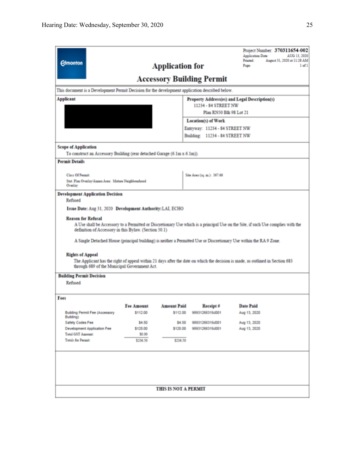| Project Number: 370311654-002<br>Application Date:<br>AUG 13, 2020<br>August 31, 2020 at 11:28 AM<br>Printed:<br><b>Edmonton</b><br><b>Application for</b><br>Page:<br>1 of 1<br><b>Accessory Building Permit</b><br>This document is a Development Permit Decision for the development application described below.                         |                               |                                |                                                                              |                                  |  |
|----------------------------------------------------------------------------------------------------------------------------------------------------------------------------------------------------------------------------------------------------------------------------------------------------------------------------------------------|-------------------------------|--------------------------------|------------------------------------------------------------------------------|----------------------------------|--|
|                                                                                                                                                                                                                                                                                                                                              |                               |                                |                                                                              |                                  |  |
| <b>Applicant</b>                                                                                                                                                                                                                                                                                                                             |                               |                                | <b>Property Address(es) and Legal Description(s)</b><br>11234 - 84 STREET NW |                                  |  |
|                                                                                                                                                                                                                                                                                                                                              |                               |                                | Plan RN50 Blk 98 Lot 21                                                      |                                  |  |
|                                                                                                                                                                                                                                                                                                                                              |                               |                                | <b>Location(s) of Work</b>                                                   |                                  |  |
|                                                                                                                                                                                                                                                                                                                                              |                               |                                | Entryway: 11234 - 84 STREET NW                                               |                                  |  |
|                                                                                                                                                                                                                                                                                                                                              |                               |                                | Building: 11234 - 84 STREET NW                                               |                                  |  |
| <b>Scope of Application</b>                                                                                                                                                                                                                                                                                                                  |                               |                                |                                                                              |                                  |  |
| To construct an Accessory Building (rear detached Garage (6.1m x 6.1m)).                                                                                                                                                                                                                                                                     |                               |                                |                                                                              |                                  |  |
| <b>Permit Details</b>                                                                                                                                                                                                                                                                                                                        |                               |                                |                                                                              |                                  |  |
| <b>Class Of Permit:</b>                                                                                                                                                                                                                                                                                                                      |                               |                                | Site Area (1q. m.): 367.66                                                   |                                  |  |
| Stat. Plan Overlay/Annex Area: Mature Neighbourhood                                                                                                                                                                                                                                                                                          |                               |                                |                                                                              |                                  |  |
| Overlay                                                                                                                                                                                                                                                                                                                                      |                               |                                |                                                                              |                                  |  |
| <b>Development Application Decision</b><br>Refused                                                                                                                                                                                                                                                                                           |                               |                                |                                                                              |                                  |  |
| Issue Date: Aug 31, 2020 Development Authority: LAI, ECHO                                                                                                                                                                                                                                                                                    |                               |                                |                                                                              |                                  |  |
|                                                                                                                                                                                                                                                                                                                                              |                               |                                |                                                                              |                                  |  |
| <b>Reason for Refusal</b><br>A Use shall be Accessory to a Permitted or Discretionary Use which is a principal Use on the Site, if such Use complies with the<br>definition of Accessory in this Bylaw. (Section 50.1)<br>A Single Detached House (principal building) is neither a Permitted Use or Discretionary Use within the RA 9 Zone. |                               |                                |                                                                              |                                  |  |
| <b>Rights of Appeal</b><br>The Applicant has the right of appeal within 21 days after the date on which the decision is made, as outlined in Section 683<br>through 689 of the Municipal Government Act.<br><b>Building Permit Decision</b>                                                                                                  |                               |                                |                                                                              |                                  |  |
| Refused                                                                                                                                                                                                                                                                                                                                      |                               |                                |                                                                              |                                  |  |
|                                                                                                                                                                                                                                                                                                                                              |                               |                                |                                                                              |                                  |  |
| Fees                                                                                                                                                                                                                                                                                                                                         |                               |                                |                                                                              |                                  |  |
| <b>Building Permit Fee (Accessory</b>                                                                                                                                                                                                                                                                                                        | <b>Fee Amount</b><br>\$112.00 | <b>Amount Paid</b><br>\$112.00 | <b>Receipt #</b><br>98931266319J001                                          | <b>Date Paid</b><br>Aug 13, 2020 |  |
| Building)                                                                                                                                                                                                                                                                                                                                    |                               |                                |                                                                              |                                  |  |
| Safety Codes Fee<br>Development Application Fee                                                                                                                                                                                                                                                                                              | \$4.50<br>\$120.00            | \$4.50<br>\$120.00             | 98931266319J001<br>98931266319J001                                           | Aug 13, 2020<br>Aug 13, 2020     |  |
| <b>Total GST Amount:</b><br>\$0.00                                                                                                                                                                                                                                                                                                           |                               |                                |                                                                              |                                  |  |
| <b>Total: for Permit:</b>                                                                                                                                                                                                                                                                                                                    | \$236.50                      | \$236.50                       |                                                                              |                                  |  |
|                                                                                                                                                                                                                                                                                                                                              |                               |                                |                                                                              |                                  |  |
|                                                                                                                                                                                                                                                                                                                                              |                               |                                |                                                                              |                                  |  |
|                                                                                                                                                                                                                                                                                                                                              |                               |                                |                                                                              |                                  |  |
|                                                                                                                                                                                                                                                                                                                                              |                               | <b>THIS IS NOT A PERMIT</b>    |                                                                              |                                  |  |
|                                                                                                                                                                                                                                                                                                                                              |                               |                                |                                                                              |                                  |  |